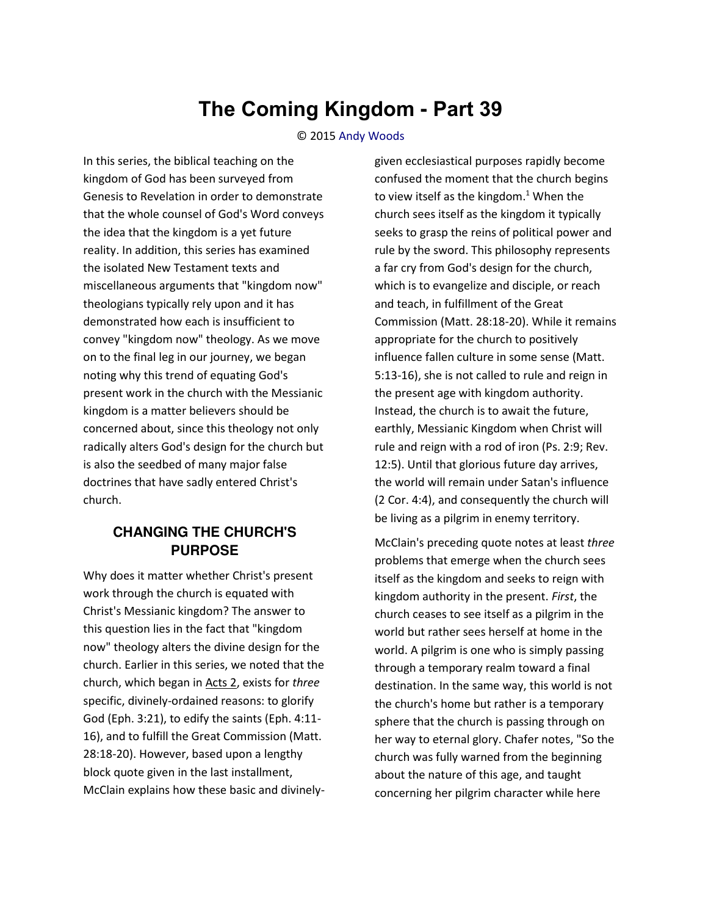## **The Coming Kingdom - Part 39**

## © 2015 [Andy Woods](http://www.spiritandtruth.org/id/aw.htm)

In this series, the biblical teaching on the kingdom of God has been surveyed from Genesis to Revelation in order to demonstrate that the whole counsel of God's Word conveys the idea that the kingdom is a yet future reality. In addition, this series has examined the isolated New Testament texts and miscellaneous arguments that "kingdom now" theologians typically rely upon and it has demonstrated how each is insufficient to convey "kingdom now" theology. As we move on to the final leg in our journey, we began noting why this trend of equating God's present work in the church with the Messianic kingdom is a matter believers should be concerned about, since this theology not only radically alters God's design for the church but is also the seedbed of many major false doctrines that have sadly entered Christ's church.

## **CHANGING THE CHURCH'S PURPOSE**

Why does it matter whether Christ's present work through the church is equated with Christ's Messianic kingdom? The answer to this question lies in the fact that "kingdom now" theology alters the divine design for the church. Earlier in this series, we noted that the church, which began i[n Acts 2,](http://biblia.com/bible/nasb95/Acts%202) exists for *three* specific, divinely-ordained reasons: to glorify God (Eph. 3:21), to edify the saints (Eph. 4:11- 16), and to fulfill the Great Commission (Matt. 28:18-20). However, based upon a lengthy block quote given in the last installment, McClain explains how these basic and divinelygiven ecclesiastical purposes rapidly become confused the moment that the church begins to view itself as the kingdom. $1$  When the church sees itself as the kingdom it typically seeks to grasp the reins of political power and rule by the sword. This philosophy represents a far cry from God's design for the church, which is to evangelize and disciple, or reach and teach, in fulfillment of the Great Commission (Matt. 28:18-20). While it remains appropriate for the church to positively influence fallen culture in some sense (Matt. 5:13-16), she is not called to rule and reign in the present age with kingdom authority. Instead, the church is to await the future, earthly, Messianic Kingdom when Christ will rule and reign with a rod of iron (Ps. 2:9; Rev. 12:5). Until that glorious future day arrives, the world will remain under Satan's influence (2 Cor. 4:4), and consequently the church will be living as a pilgrim in enemy territory.

McClain's preceding quote notes at least *three* problems that emerge when the church sees itself as the kingdom and seeks to reign with kingdom authority in the present. *First*, the church ceases to see itself as a pilgrim in the world but rather sees herself at home in the world. A pilgrim is one who is simply passing through a temporary realm toward a final destination. In the same way, this world is not the church's home but rather is a temporary sphere that the church is passing through on her way to eternal glory. Chafer notes, "So the church was fully warned from the beginning about the nature of this age, and taught concerning her pilgrim character while here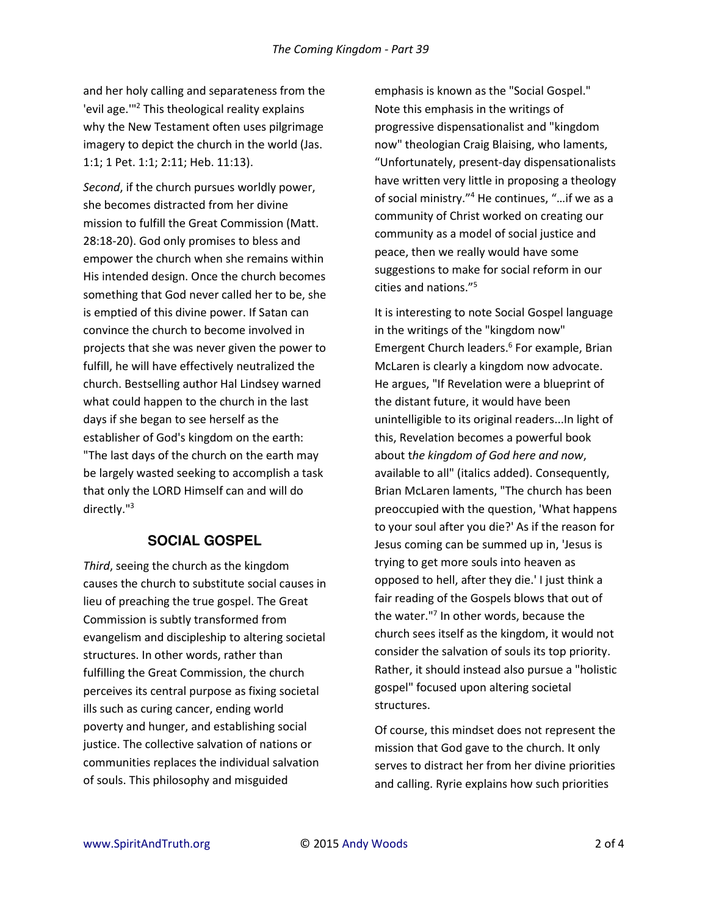and her holy calling and separateness from the 'evil age."<sup>2</sup> This theological reality explains why the New Testament often uses pilgrimage imagery to depict the church in the world (Jas. 1:1; 1 Pet. 1:1; 2:11; Heb. 11:13).

*Second*, if the church pursues worldly power, she becomes distracted from her divine mission to fulfill the Great Commission (Matt. 28:18-20). God only promises to bless and empower the church when she remains within His intended design. Once the church becomes something that God never called her to be, she is emptied of this divine power. If Satan can convince the church to become involved in projects that she was never given the power to fulfill, he will have effectively neutralized the church. Bestselling author Hal Lindsey warned what could happen to the church in the last days if she began to see herself as the establisher of God's kingdom on the earth: "The last days of the church on the earth may be largely wasted seeking to accomplish a task that only the LORD Himself can and will do directly."<sup>3</sup>

## **SOCIAL GOSPEL**

*Third*, seeing the church as the kingdom causes the church to substitute social causes in lieu of preaching the true gospel. The Great Commission is subtly transformed from evangelism and discipleship to altering societal structures. In other words, rather than fulfilling the Great Commission, the church perceives its central purpose as fixing societal ills such as curing cancer, ending world poverty and hunger, and establishing social justice. The collective salvation of nations or communities replaces the individual salvation of souls. This philosophy and misguided

emphasis is known as the "Social Gospel." Note this emphasis in the writings of progressive dispensationalist and "kingdom now" theologian Craig Blaising, who laments, "Unfortunately, present-day dispensationalists have written very little in proposing a theology of social ministry.<sup>"4</sup> He continues, "...if we as a community of Christ worked on creating our community as a model of social justice and peace, then we really would have some suggestions to make for social reform in our cities and nations. $15$ 

It is interesting to note Social Gospel language in the writings of the "kingdom now" Emergent Church leaders.<sup>6</sup> For example, Brian McLaren is clearly a kingdom now advocate. He argues, "If Revelation were a blueprint of the distant future, it would have been unintelligible to its original readers...In light of this, Revelation becomes a powerful book about t*he kingdom of God here and now*, available to all" (italics added). Consequently, Brian McLaren laments, "The church has been preoccupied with the question, 'What happens to your soul after you die?' As if the reason for Jesus coming can be summed up in, 'Jesus is trying to get more souls into heaven as opposed to hell, after they die.' I just think a fair reading of the Gospels blows that out of the water."<sup>7</sup> In other words, because the church sees itself as the kingdom, it would not consider the salvation of souls its top priority. Rather, it should instead also pursue a "holistic gospel" focused upon altering societal structures.

Of course, this mindset does not represent the mission that God gave to the church. It only serves to distract her from her divine priorities and calling. Ryrie explains how such priorities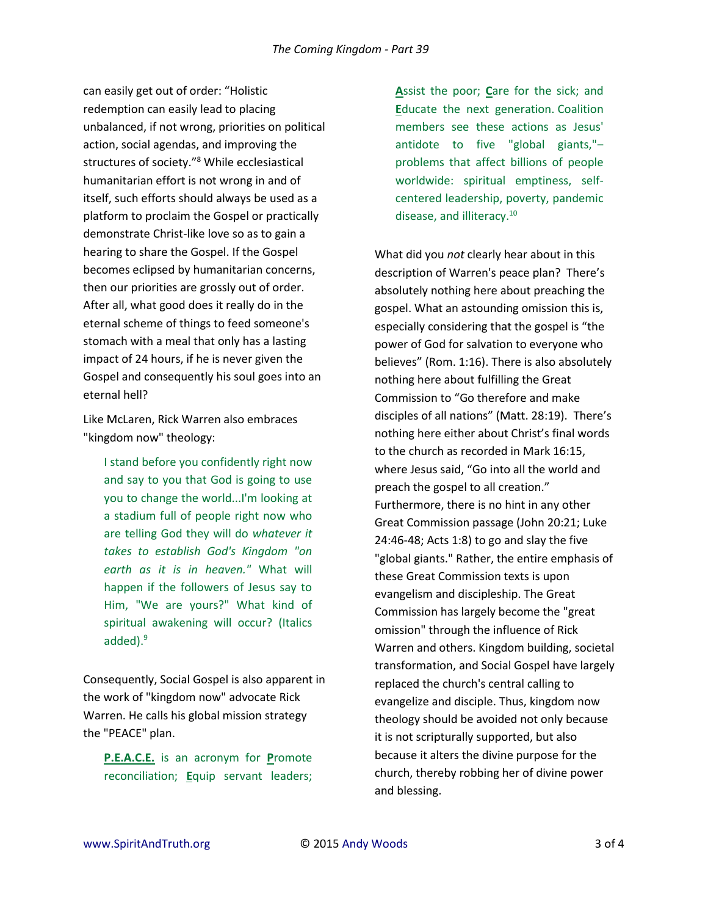can easily get out of order: "Holistic redemption can easily lead to placing unbalanced, if not wrong, priorities on political action, social agendas, and improving the structures of society."<sup>8</sup> While ecclesiastical humanitarian effort is not wrong in and of itself, such efforts should always be used as a platform to proclaim the Gospel or practically demonstrate Christ-like love so as to gain a hearing to share the Gospel. If the Gospel becomes eclipsed by humanitarian concerns, then our priorities are grossly out of order. After all, what good does it really do in the eternal scheme of things to feed someone's stomach with a meal that only has a lasting impact of 24 hours, if he is never given the Gospel and consequently his soul goes into an eternal hell?

Like McLaren, Rick Warren also embraces "kingdom now" theology:

I stand before you confidently right now and say to you that God is going to use you to change the world...I'm looking at a stadium full of people right now who are telling God they will do *whatever it takes to establish God's Kingdom "on earth as it is in heaven."* What will happen if the followers of Jesus say to Him, "We are yours?" What kind of spiritual awakening will occur? (Italics added).<sup>9</sup>

Consequently, Social Gospel is also apparent in the work of "kingdom now" advocate Rick Warren. He calls his global mission strategy the "PEACE" plan.

**P.E.A.C.E.** is an acronym for **P**romote reconciliation; **E**quip servant leaders; **A**ssist the poor; **C**are for the sick; and **E**ducate the next generation. Coalition members see these actions as Jesus' antidote to five "global giants," $$ problems that affect billions of people worldwide: spiritual emptiness, selfcentered leadership, poverty, pandemic disease, and illiteracy.<sup>10</sup>

What did you *not* clearly hear about in this description of Warren's peace plan? There's absolutely nothing here about preaching the gospel. What an astounding omission this is, especially considering that the gospel is "the power of God for salvation to everyone who believes" (Rom. 1:16). There is also absolutely nothing here about fulfilling the Great Commission to "Go therefore and make disciples of all nations" (Matt. 28:19). There's nothing here either about Christ's final words to the church as recorded in Mark 16:15, where Jesus said, "Go into all the world and preach the gospel to all creation." Furthermore, there is no hint in any other Great Commission passage (John 20:21; Luke 24:46-48; Acts 1:8) to go and slay the five "global giants." Rather, the entire emphasis of these Great Commission texts is upon evangelism and discipleship. The Great Commission has largely become the "great omission" through the influence of Rick Warren and others. Kingdom building, societal transformation, and Social Gospel have largely replaced the church's central calling to evangelize and disciple. Thus, kingdom now theology should be avoided not only because it is not scripturally supported, but also because it alters the divine purpose for the church, thereby robbing her of divine power and blessing.